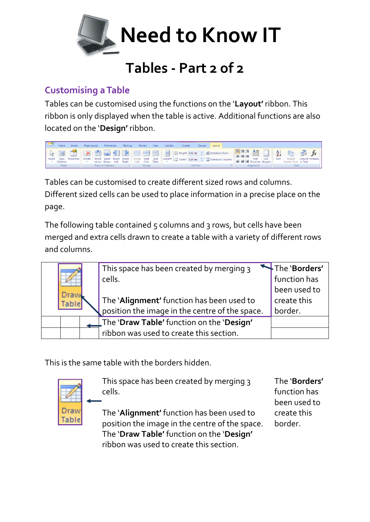

# **Tables - Part 2 of 2**

## **Customising a Table**

Tables can be customised using the functions on the '**Layout'** ribbon. This ribbon is only displayed when the table is active. Additional functions are also located on the '**Design'** ribbon.



Tables can be customised to create different sized rows and columns. Different sized cells can be used to place information in a precise place on the page.

The following table contained 5 columns and 3 rows, but cells have been merged and extra cells drawn to create a table with a variety of different rows and columns.

| Draw<br><b>Table</b> | This space has been created by merging 3<br>cells.<br>The 'Alignment' function has been used to<br>position the image in the centre of the space. | The 'Borders'<br>function has<br>been used to<br>create this<br>border. |
|----------------------|---------------------------------------------------------------------------------------------------------------------------------------------------|-------------------------------------------------------------------------|
|                      | The 'Draw Table' function on the 'Design'                                                                                                         |                                                                         |
|                      | ribbon was used to create this section.                                                                                                           |                                                                         |

This is the same table with the borders hidden.



This space has been created by merging 3 cells.

The '**Alignment'** function has been used to position the image in the centre of the space. The '**Draw Table'** function on the '**Design'** ribbon was used to create this section.

The '**Borders'** function has been used to create this border.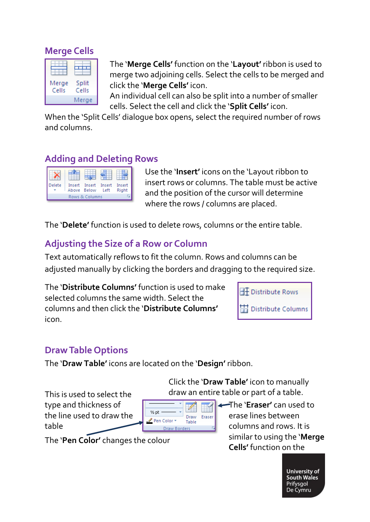### **Merge Cells**

| Merge<br>Cells | Split<br>Cells |
|----------------|----------------|
|                | Merge          |

The '**Merge Cells'** function on the '**Layout'** ribbon is used to merge two adjoining cells. Select the cells to be merged and click the '**Merge Cells'** icon.

An individual cell can also be split into a number of smaller cells. Select the cell and click the '**Split Cells'** icon.

When the 'Split Cells' dialogue box opens, select the required number of rows and columns.

### **Adding and Deleting Rows**

| Delete         |  | Insert Insert Insert<br>Above Below | l eft | Insert<br>Right |
|----------------|--|-------------------------------------|-------|-----------------|
| Rows & Columns |  |                                     |       |                 |

Use the '**Insert'** icons on the 'Layout ribbon to insert rows or columns. The table must be active and the position of the cursor will determine where the rows / columns are placed.

The '**Delete'** function is used to delete rows, columns or the entire table.

## **Adjusting the Size of a Row or Column**

Text automatically reflows to fit the column. Rows and columns can be adjusted manually by clicking the borders and dragging to the required size.

The '**Distribute Columns'** function is used to make selected columns the same width. Select the columns and then click the '**Distribute Columns'** icon.



## **Draw Table Options**

The '**Draw Table'** icons are located on the '**Design'** ribbon.

This is used to select the draw an entire table or part of a table. type and thickness of the line used to draw the table



The '**Eraser'** can used to erase lines between columns and rows. It is similar to using the '**Merge Cells'** function on the

Click the '**Draw Table'** icon to manually

The '**Pen Color'** changes the colour

**University of** South Wales Prifysgol De Cymru